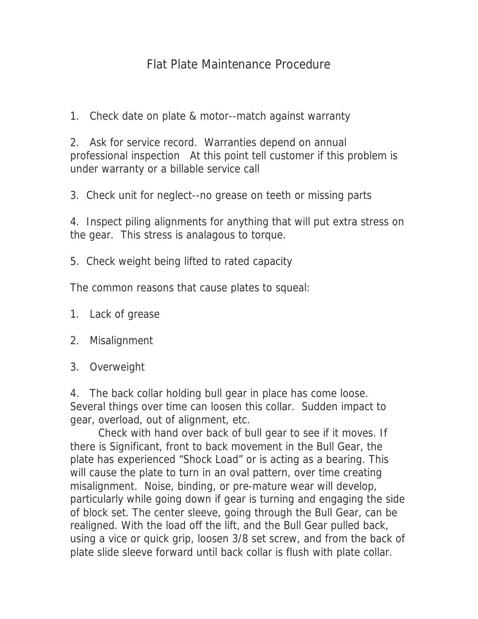## Flat Plate Maintenance Procedure

1. Check date on plate & motor--match against warranty

2. Ask for service record. Warranties depend on annual professional inspection At this point tell customer if this problem is under warranty or a billable service call

3. Check unit for neglect--no grease on teeth or missing parts

4. Inspect piling alignments for anything that will put extra stress on the gear. This stress is analagous to torque.

5. Check weight being lifted to rated capacity

The common reasons that cause plates to squeal:

- 1. Lack of grease
- 2. Misalignment
- 3. Overweight

4. The back collar holding bull gear in place has come loose. Several things over time can loosen this collar. Sudden impact to gear, overload, out of alignment, etc.

Check with hand over back of bull gear to see if it moves. If there is Significant, front to back movement in the Bull Gear, the plate has experienced "Shock Load" or is acting as a bearing. This will cause the plate to turn in an oval pattern, over time creating misalignment. Noise, binding, or pre-mature wear will develop, particularly while going down if gear is turning and engaging the side of block set. The center sleeve, going through the Bull Gear, can be realigned. With the load off the lift, and the Bull Gear pulled back, using a vice or quick grip, loosen 3/8 set screw, and from the back of plate slide sleeve forward until back collar is flush with plate collar.